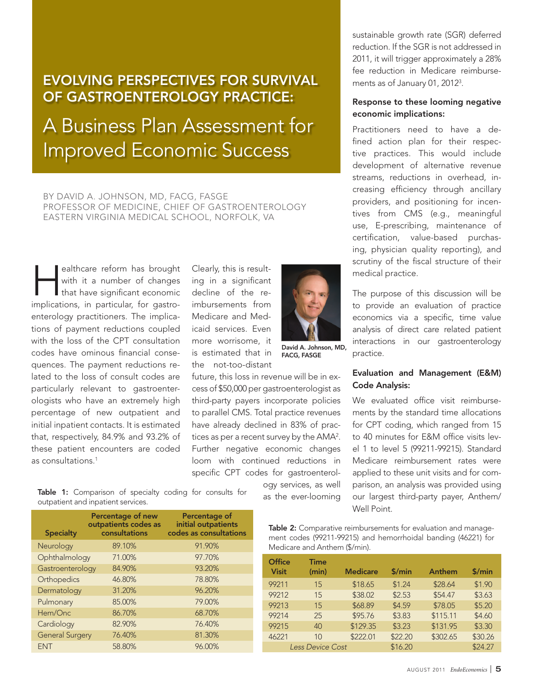# EVOLVING PERSPECTIVES FOR SURVIVAL OF GASTROENTEROLOGY PRACTICE:

A Business Plan Assessment for Improved Economic Success

BY DAVID A. JOHNSON, MD, FACG, FASGE PROFESSOR OF MEDICINE, CHIEF OF GASTROENTEROLOGY EASTERN VIRGINIA MEDICAL SCHOOL, NORFOLK, VA

ealthcare reform has brought<br>with it a number of changes<br>that have significant economic<br>implications in porticular for posts. with it a number of changes that have significant economic implications, in particular, for gastroenterology practitioners. The implications of payment reductions coupled with the loss of the CPT consultation codes have ominous financial consequences. The payment reductions related to the loss of consult codes are particularly relevant to gastroenterologists who have an extremely high percentage of new outpatient and initial inpatient contacts. It is estimated that, respectively, 84.9% and 93.2% of these patient encounters are coded as consultations.1

Clearly, this is resulting in a significant decline of the reimbursements from Medicare and Medicaid services. Even more worrisome, it is estimated that in the not-too-distant

David A. Johnson, MD, FACG, FASGE

ogy services, as well as the ever-looming

future, this loss in revenue will be in excess of \$50,000 per gastroenterologist as third-party payers incorporate policies to parallel CMS. Total practice revenues have already declined in 83% of practices as per a recent survey by the AMA2. Further negative economic changes loom with continued reductions in specific CPT codes for gastroenterol-

Table 1: Comparison of specialty coding for consults for outpatient and inpatient services.

| <b>Specialty</b>       | <b>Percentage of new</b><br>outpatients codes as<br>consultations | Percentage of<br>initial outpatients<br>codes as consultations |
|------------------------|-------------------------------------------------------------------|----------------------------------------------------------------|
| Neurology              | 89.10%                                                            | 91.90%                                                         |
| Ophthalmology          | 71.00%                                                            | 97.70%                                                         |
| Gastroenterology       | 84.90%                                                            | 93.20%                                                         |
| Orthopedics            | 46.80%                                                            | 78.80%                                                         |
| Dermatology            | 31.20%                                                            | 96.20%                                                         |
| Pulmonary              | 85.00%                                                            | 79.00%                                                         |
| Hem/Onc                | 86.70%                                                            | 68.70%                                                         |
| Cardiology             | 82.90%                                                            | 76.40%                                                         |
| <b>General Surgery</b> | 76.40%                                                            | 81.30%                                                         |
| <b>FNT</b>             | 58.80%                                                            | 96.00%                                                         |

sustainable growth rate (SGR) deferred reduction. If the SGR is not addressed in 2011, it will trigger approximately a 28% fee reduction in Medicare reimbursements as of January 01, 20123.

## Response to these looming negative economic implications:

Practitioners need to have a defined action plan for their respective practices. This would include development of alternative revenue streams, reductions in overhead, increasing efficiency through ancillary providers, and positioning for incentives from CMS (e.g., meaningful use, E-prescribing, maintenance of certification, value-based purchasing, physician quality reporting), and scrutiny of the fiscal structure of their medical practice.

The purpose of this discussion will be to provide an evaluation of practice economics via a specific, time value analysis of direct care related patient interactions in our gastroenterology practice.

# Evaluation and Management (E&M) Code Analysis:

We evaluated office visit reimbursements by the standard time allocations for CPT coding, which ranged from 15 to 40 minutes for E&M office visits level 1 to level 5 (99211-99215). Standard Medicare reimbursement rates were applied to these unit visits and for comparison, an analysis was provided using our largest third-party payer, Anthem/ Well Point.

Table 2: Comparative reimbursements for evaluation and management codes (99211-99215) and hemorrhoidal banding (46221) for Medicare and Anthem (\$/min).

| Office<br><b>Visit</b>  | Time<br>(min)  | <b>Medicare</b> | \$/min  | Anthem   | \$/min  |
|-------------------------|----------------|-----------------|---------|----------|---------|
| 99211                   | 15             | \$18.65         | \$1.24  | \$28.64  | \$1.90  |
| 99212                   | 15             | \$38.02         | \$2.53  | \$54.47  | \$3.63  |
| 99213                   | 15             | \$68.89         | \$4.59  | \$78.05  | \$5.20  |
| 99214                   | 25             | \$95.76         | \$3.83  | \$115.11 | \$4.60  |
| 99215                   | 40             | \$129.35        | \$3.23  | \$131.95 | \$3.30  |
| 46221                   | 1 <sub>0</sub> | \$222.01        | \$22.20 | \$302.65 | \$30.26 |
| <b>Less Device Cost</b> |                |                 | \$16.20 |          | \$24.27 |

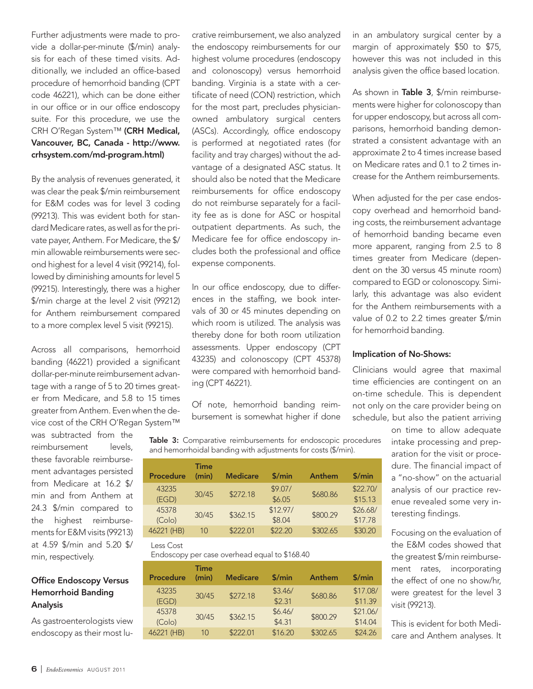Further adjustments were made to provide a dollar-per-minute (\$/min) analysis for each of these timed visits. Additionally, we included an office-based procedure of hemorrhoid banding (CPT code 46221), which can be done either in our office or in our office endoscopy suite. For this procedure, we use the CRH O'Regan System™ (CRH Medical, Vancouver, BC, Canada - http://www. crhsystem.com/md-program.html)

By the analysis of revenues generated, it was clear the peak \$/min reimbursement for E&M codes was for level 3 coding (99213). This was evident both for standard Medicare rates, as well as for the private payer, Anthem. For Medicare, the \$/ min allowable reimbursements were second highest for a level 4 visit (99214), followed by diminishing amounts for level 5 (99215). Interestingly, there was a higher \$/min charge at the level 2 visit (99212) for Anthem reimbursement compared to a more complex level 5 visit (99215).

Across all comparisons, hemorrhoid banding (46221) provided a significant dollar-per-minute reimbursement advantage with a range of 5 to 20 times greater from Medicare, and 5.8 to 15 times greater from Anthem. Even when the device cost of the CRH O'Regan System™

was subtracted from the reimbursement levels, these favorable reimbursement advantages persisted from Medicare at 16.2 \$/ min and from Anthem at 24.3 \$/min compared to the highest reimbursements for E&M visits (99213) at 4.59 \$/min and 5.20 \$/ min, respectively.

# Office Endoscopy Versus Hemorrhoid Banding Analysis

As gastroenterologists view endoscopy as their most lucrative reimbursement, we also analyzed the endoscopy reimbursements for our highest volume procedures (endoscopy and colonoscopy) versus hemorrhoid banding. Virginia is a state with a certificate of need (CON) restriction, which for the most part, precludes physicianowned ambulatory surgical centers (ASCs). Accordingly, office endoscopy is performed at negotiated rates (for facility and tray charges) without the advantage of a designated ASC status. It should also be noted that the Medicare reimbursements for office endoscopy do not reimburse separately for a facility fee as is done for ASC or hospital outpatient departments. As such, the Medicare fee for office endoscopy includes both the professional and office expense components.

In our office endoscopy, due to differences in the staffing, we book intervals of 30 or 45 minutes depending on which room is utilized. The analysis was thereby done for both room utilization assessments. Upper endoscopy (CPT 43235) and colonoscopy (CPT 45378) were compared with hemorrhoid banding (CPT 46221).

Of note, hemorrhoid banding reimbursement is somewhat higher if done

Table 3: Comparative reimbursements for endoscopic procedures and hemorrhoidal banding with adjustments for costs (\$/min).

| <b>Procedure</b> | <b>Time</b><br>(min) | <b>Medicare</b> | \$/min   | Anthem   | \$/min   |
|------------------|----------------------|-----------------|----------|----------|----------|
| 43235            | 30/45                | \$272.18        | \$9.07/  | \$680.86 | \$22.70/ |
| (EGD)            |                      |                 | \$6.05   |          | \$15.13  |
| 45378            | 30/45                | \$362.15        | \$12.97/ | \$800.29 | \$26.68/ |
| (Colo)           |                      |                 | \$8.04   |          | \$17.78  |
| 46221 (HB)       | 10                   | \$222.01        | \$22.20  | \$302.65 | \$30.20  |

Less Cost

Endoscopy per case overhead equal to \$168.40

| <b>Procedure</b> | Time<br>(min) | <b>Medicare</b> | \$/min            | Anthem   | \$/min              |
|------------------|---------------|-----------------|-------------------|----------|---------------------|
| 43235<br>(EGD)   | 30/45         | \$272.18        | \$3.46/<br>\$2.31 | \$680.86 | \$17.08/<br>\$11.39 |
| 45378<br>(Colo)  | 30/45         | \$362.15        | \$6.46/<br>\$4.31 | \$800.29 | \$21.06/<br>\$14.04 |
| 46221 (HB)       | 10            | \$222.01        | \$16.20           | \$302.65 | \$24.26             |

in an ambulatory surgical center by a margin of approximately \$50 to \$75, however this was not included in this analysis given the office based location.

As shown in Table 3, \$/min reimbursements were higher for colonoscopy than for upper endoscopy, but across all comparisons, hemorrhoid banding demonstrated a consistent advantage with an approximate 2 to 4 times increase based on Medicare rates and 0.1 to 2 times increase for the Anthem reimbursements.

When adjusted for the per case endoscopy overhead and hemorrhoid banding costs, the reimbursement advantage of hemorrhoid banding became even more apparent, ranging from 2.5 to 8 times greater from Medicare (dependent on the 30 versus 45 minute room) compared to EGD or colonoscopy. Similarly, this advantage was also evident for the Anthem reimbursements with a value of 0.2 to 2.2 times greater \$/min for hemorrhoid banding.

### Implication of No-Shows:

Clinicians would agree that maximal time efficiencies are contingent on an on-time schedule. This is dependent not only on the care provider being on schedule, but also the patient arriving

> on time to allow adequate intake processing and preparation for the visit or procedure. The financial impact of a "no-show" on the actuarial analysis of our practice revenue revealed some very interesting findings.

> Focusing on the evaluation of the E&M codes showed that the greatest \$/min reimbursement rates, incorporating the effect of one no show/hr, were greatest for the level 3 visit (99213).

> This is evident for both Medicare and Anthem analyses. It